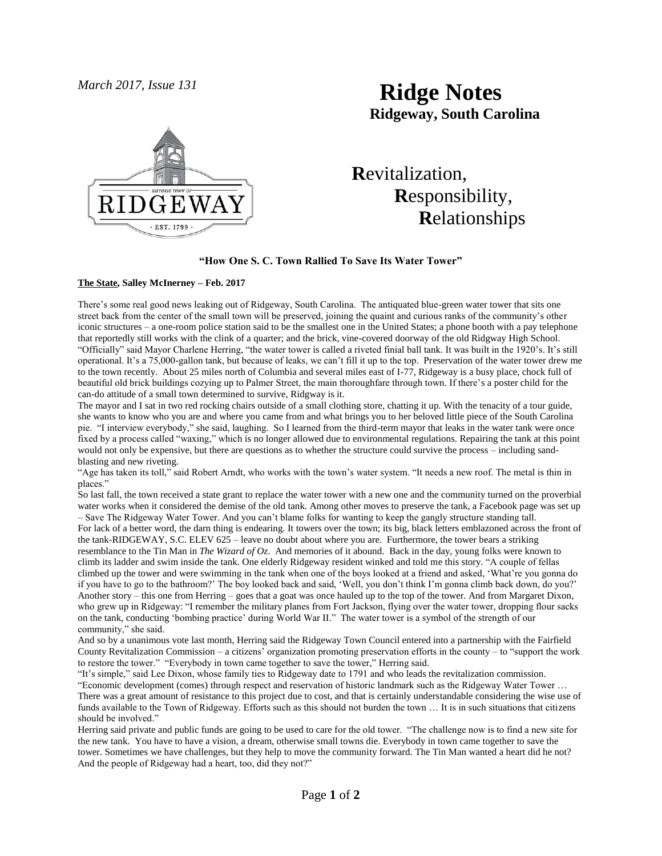

# *March 2017, Issue 131* **Ridge Notes Ridgeway, South Carolina**

 **R**evitalization,  **R**esponsibility,  **R**elationships

#### **"How One S. C. Town Rallied To Save Its Water Tower"**

#### **The State, Salley McInerney – Feb. 2017**

There's some real good news leaking out of Ridgeway, South Carolina. The antiquated blue-green water tower that sits one street back from the center of the small town will be preserved, joining the quaint and curious ranks of the community's other iconic structures – a one-room police station said to be the smallest one in the United States; a phone booth with a pay telephone that reportedly still works with the clink of a quarter; and the brick, vine-covered doorway of the old Ridgway High School. "Officially" said Mayor Charlene Herring, "the water tower is called a riveted finial ball tank. It was built in the 1920's. It's still operational. It's a 75,000-gallon tank, but because of leaks, we can't fill it up to the top. Preservation of the water tower drew me to the town recently. About 25 miles north of Columbia and several miles east of I-77, Ridgeway is a busy place, chock full of beautiful old brick buildings cozying up to Palmer Street, the main thoroughfare through town. If there's a poster child for the can-do attitude of a small town determined to survive, Ridgway is it.

The mayor and I sat in two red rocking chairs outside of a small clothing store, chatting it up. With the tenacity of a tour guide, she wants to know who you are and where you came from and what brings you to her beloved little piece of the South Carolina pie. "I interview everybody," she said, laughing. So I learned from the third-term mayor that leaks in the water tank were once fixed by a process called "waxing," which is no longer allowed due to environmental regulations. Repairing the tank at this point would not only be expensive, but there are questions as to whether the structure could survive the process – including sandblasting and new riveting.

"Age has taken its toll," said Robert Arndt, who works with the town's water system. "It needs a new roof. The metal is thin in places."

So last fall, the town received a state grant to replace the water tower with a new one and the community turned on the proverbial water works when it considered the demise of the old tank. Among other moves to preserve the tank, a Facebook page was set up – Save The Ridgeway Water Tower. And you can't blame folks for wanting to keep the gangly structure standing tall.

For lack of a better word, the darn thing is endearing. It towers over the town; its big, black letters emblazoned across the front of the tank-RIDGEWAY, S.C. ELEV 625 – leave no doubt about where you are. Furthermore, the tower bears a striking resemblance to the Tin Man in *The Wizard of Oz*. And memories of it abound. Back in the day, young folks were known to climb its ladder and swim inside the tank. One elderly Ridgeway resident winked and told me this story. "A couple of fellas climbed up the tower and were swimming in the tank when one of the boys looked at a friend and asked, 'What're you gonna do if you have to go to the bathroom?' The boy looked back and said, 'Well, you don't think I'm gonna climb back down, do you?' Another story – this one from Herring – goes that a goat was once hauled up to the top of the tower. And from Margaret Dixon, who grew up in Ridgeway: "I remember the military planes from Fort Jackson, flying over the water tower, dropping flour sacks on the tank, conducting 'bombing practice' during World War II." The water tower is a symbol of the strength of our community," she said.

And so by a unanimous vote last month, Herring said the Ridgeway Town Council entered into a partnership with the Fairfield County Revitalization Commission – a citizens' organization promoting preservation efforts in the county – to "support the work to restore the tower." "Everybody in town came together to save the tower," Herring said.

"It's simple," said Lee Dixon, whose family ties to Ridgeway date to 1791 and who leads the revitalization commission. "Economic development (comes) through respect and reservation of historic landmark such as the Ridgeway Water Tower … There was a great amount of resistance to this project due to cost, and that is certainly understandable considering the wise use of funds available to the Town of Ridgeway. Efforts such as this should not burden the town ... It is in such situations that citizens should be involved."

Herring said private and public funds are going to be used to care for the old tower. "The challenge now is to find a new site for the new tank. You have to have a vision, a dream, otherwise small towns die. Everybody in town came together to save the tower. Sometimes we have challenges, but they help to move the community forward. The Tin Man wanted a heart did he not? And the people of Ridgeway had a heart, too, did they not?"